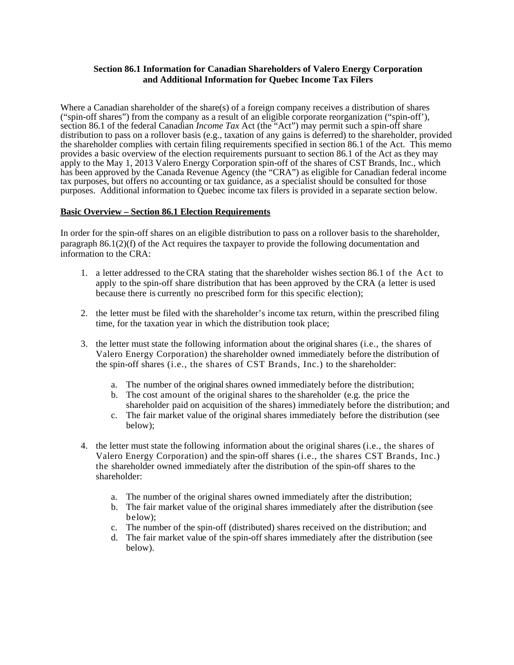## **Section 86.1 Information for Canadian Shareholders of Valero Energy Corporation and Additional Information for Quebec Income Tax Filers**

Where a Canadian shareholder of the share(s) of a foreign company receives a distribution of shares ("spin-off shares") from the company as a result of an eligible corporate reorganization ("spin-off'), section 86.1 of the federal Canadian *Income Tax* Act (the "Act") may permit such a spin-off share distribution to pass on a rollover basis (e.g., taxation of any gains is deferred) to the shareholder, provided the shareholder complies with certain filing requirements specified in section 86.1 of the Act. This memo provides a basic overview of the election requirements pursuant to section 86.1 of the Act as they may apply to the May 1, 2013 Valero Energy Corporation spin-off of the shares of CST Brands, Inc., which has been approved by the Canada Revenue Agency (the "CRA") as eligible for Canadian federal income tax purposes, but offers no accounting or tax guidance, as a specialist should be consulted for those purposes. Additional information to Quebec income tax filers is provided in a separate section below.

## **Basic Overview – Section 86.1 Election Requirements**

In order for the spin-off shares on an eligible distribution to pass on a rollover basis to the shareholder, paragraph  $86.1(2)(f)$  of the Act requires the taxpayer to provide the following documentation and information to the CRA:

- 1. a letter addressed to the CRA stating that the shareholder wishes section 86.1 of the Act to apply to the spin-off share distribution that has been approved by the CRA (a letter is used because there is currently no prescribed form for this specific election);
- 2. the letter must be filed with the shareholder's income tax return, within the prescribed filing time, for the taxation year in which the distribution took place;
- 3. the letter must state the following information about the original shares (i.e., the shares of Valero Energy Corporation) the shareholder owned immediately before the distribution of the spin-off shares (i.e., the shares of CST Brands, Inc.) to the shareholder:
	- a. The number of the original shares owned immediately before the distribution;
	- b. The cost amount of the original shares to the shareholder (e.g. the price the shareholder paid on acquisition of the shares) immediately before the distribution; and
	- c. The fair market value of the original shares immediately before the distribution (see below);
- 4. the letter must state the following information about the original shares (i.e., the shares of Valero Energy Corporation) and the spin-off shares (i.e., the shares CST Brands, Inc.) the shareholder owned immediately after the distribution of the spin-off shares to the shareholder:
	- a. The number of the original shares owned immediately after the distribution;
	- b. The fair market value of the original shares immediately after the distribution (see below);
	- c. The number of the spin-off (distributed) shares received on the distribution; and
	- d. The fair market value of the spin-off shares immediately after the distribution (see below).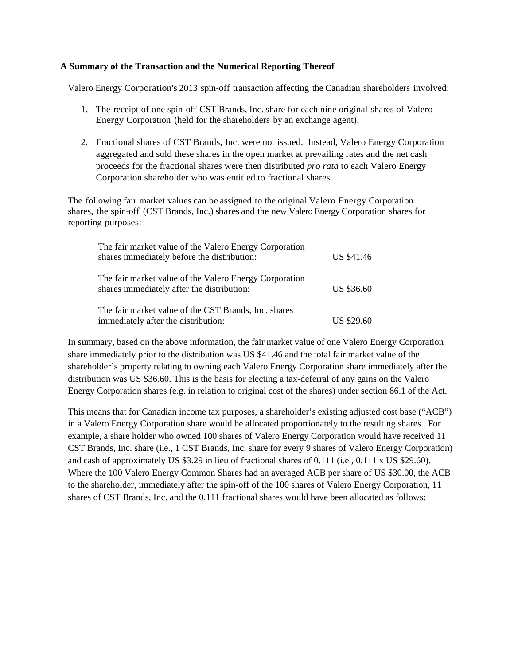## **A Summary of the Transaction and the Numerical Reporting Thereof**

Valero Energy Corporation's 2013 spin-off transaction affecting the Canadian shareholders involved:

- 1. The receipt of one spin-off CST Brands, Inc. share for each nine original shares of Valero Energy Corporation (held for the shareholders by an exchange agent);
- 2. Fractional shares of CST Brands, Inc. were not issued. Instead, Valero Energy Corporation aggregated and sold these shares in the open market at prevailing rates and the net cash proceeds for the fractional shares were then distributed *pro rata* to each Valero Energy Corporation shareholder who was entitled to fractional shares.

The following fair market values can be assigned to the original Valero Energy Corporation shares, the spin-off (CST Brands, Inc.) shares and the new Valero Energy Corporation shares for reporting purposes:

| The fair market value of the Valero Energy Corporation<br>shares immediately before the distribution: | <b>US \$41.46</b> |
|-------------------------------------------------------------------------------------------------------|-------------------|
| The fair market value of the Valero Energy Corporation<br>shares immediately after the distribution:  | <b>US \$36.60</b> |
| The fair market value of the CST Brands, Inc. shares<br>immediately after the distribution:           | <b>US \$29.60</b> |

In summary, based on the above information, the fair market value of one Valero Energy Corporation share immediately prior to the distribution was US \$41.46 and the total fair market value of the shareholder's property relating to owning each Valero Energy Corporation share immediately after the distribution was US \$36.60. This is the basis for electing a tax-deferral of any gains on the Valero Energy Corporation shares (e.g. in relation to original cost of the shares) under section 86.1 of the Act.

This means that for Canadian income tax purposes, a shareholder's existing adjusted cost base ("ACB") in a Valero Energy Corporation share would be allocated proportionately to the resulting shares. For example, a share holder who owned 100 shares of Valero Energy Corporation would have received 11 CST Brands, Inc. share (i.e., 1 CST Brands, Inc. share for every 9 shares of Valero Energy Corporation) and cash of approximately US \$3.29 in lieu of fractional shares of 0.111 (i.e., 0.111 x US \$29.60). Where the 100 Valero Energy Common Shares had an averaged ACB per share of US \$30.00, the ACB to the shareholder, immediately after the spin-off of the 100 shares of Valero Energy Corporation, 11 shares of CST Brands, Inc. and the 0.111 fractional shares would have been allocated as follows: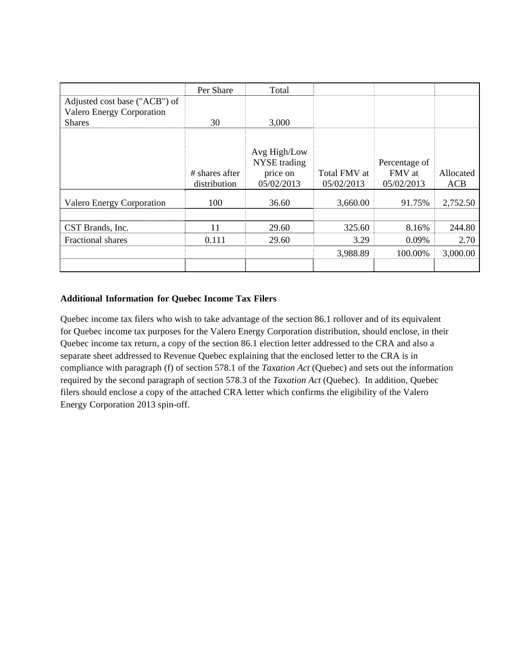|                                  | Per Share      | Total               |              |               |           |
|----------------------------------|----------------|---------------------|--------------|---------------|-----------|
| Adjusted cost base ("ACB") of    |                |                     |              |               |           |
| <b>Valero Energy Corporation</b> |                |                     |              |               |           |
| <b>Shares</b>                    | 30             | 3,000               |              |               |           |
|                                  |                |                     |              |               |           |
|                                  |                | Avg High/Low        |              |               |           |
|                                  |                | <b>NYSE</b> trading |              | Percentage of |           |
|                                  | # shares after | price on            | Total FMV at | FMV at        | Allocated |
|                                  |                | 05/02/2013          | 05/02/2013   | 05/02/2013    | ACB       |
|                                  | distribution   |                     |              |               |           |
| <b>Valero Energy Corporation</b> | 100            | 36.60               | 3,660.00     | 91.75%        | 2,752.50  |
|                                  |                |                     |              |               |           |
| CST Brands, Inc.                 | 11             | 29.60               | 325.60       | 8.16%         | 244.80    |
| Fractional shares                | 0.111          | 29.60               | 3.29         | 0.09%         | 2.70      |
|                                  |                |                     | 3,988.89     | 100.00%       | 3,000.00  |
|                                  |                |                     |              |               |           |

## **Additional Information for Quebec Income Tax Filers**

Quebec income tax filers who wish to take advantage of the section 86.1 rollover and of its equivalent for Quebec income tax purposes for the Valero Energy Corporation distribution, should enclose, in their Quebec income tax return, a copy of the section 86.1 election letter addressed to the CRA and also a separate sheet addressed to Revenue Quebec explaining that the enclosed letter to the CRA is in compliance with paragraph (f) of section 578.1 of the *Taxation Act* (Quebec) and sets out the information required by the second paragraph of section 578.3 of the *Taxation Act* (Quebec). In addition, Quebec filers should enclose a copy of the attached CRA letter which confirms the eligibility of the Valero Energy Corporation 2013 spin-off.